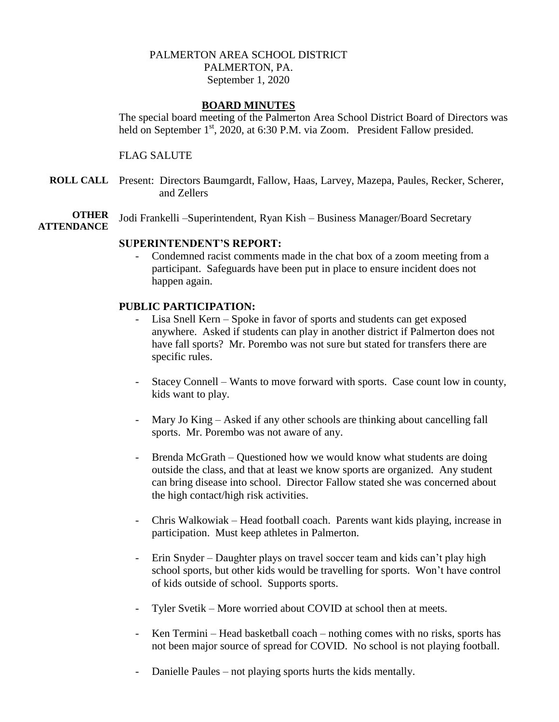## PALMERTON AREA SCHOOL DISTRICT PALMERTON, PA. September 1, 2020

## **BOARD MINUTES**

The special board meeting of the Palmerton Area School District Board of Directors was held on September 1<sup>st</sup>, 2020, at 6:30 P.M. via Zoom. President Fallow presided.

### FLAG SALUTE

**ROLL CALL** Present: Directors Baumgardt, Fallow, Haas, Larvey, Mazepa, Paules, Recker, Scherer, and Zellers

**OTHER** Jodi Frankelli –Superintendent, Ryan Kish – Business Manager/Board Secretary

# **ATTENDANCE**

#### **SUPERINTENDENT'S REPORT:**

Condemned racist comments made in the chat box of a zoom meeting from a participant. Safeguards have been put in place to ensure incident does not happen again.

### **PUBLIC PARTICIPATION:**

- Lisa Snell Kern Spoke in favor of sports and students can get exposed anywhere. Asked if students can play in another district if Palmerton does not have fall sports? Mr. Porembo was not sure but stated for transfers there are specific rules.
- Stacey Connell Wants to move forward with sports. Case count low in county, kids want to play.
- Mary Jo King Asked if any other schools are thinking about cancelling fall sports. Mr. Porembo was not aware of any.
- Brenda McGrath Questioned how we would know what students are doing outside the class, and that at least we know sports are organized. Any student can bring disease into school. Director Fallow stated she was concerned about the high contact/high risk activities.
- Chris Walkowiak Head football coach. Parents want kids playing, increase in participation. Must keep athletes in Palmerton.
- Erin Snyder Daughter plays on travel soccer team and kids can't play high school sports, but other kids would be travelling for sports. Won't have control of kids outside of school. Supports sports.
- Tyler Svetik More worried about COVID at school then at meets.
- Ken Termini Head basketball coach nothing comes with no risks, sports has not been major source of spread for COVID. No school is not playing football.
- Danielle Paules not playing sports hurts the kids mentally.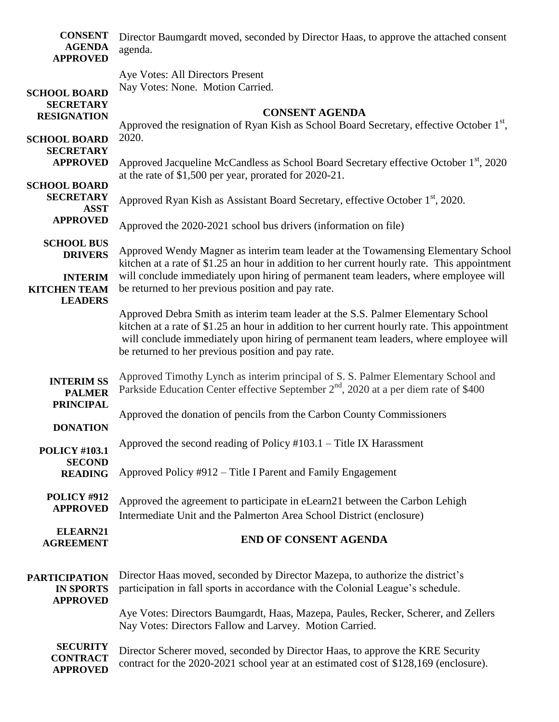| <b>CONSENT</b><br><b>AGENDA</b><br><b>APPROVED</b>            | Director Baumgardt moved, seconded by Director Haas, to approve the attached consent<br>agenda.                                                                                                                                                                                                                                |
|---------------------------------------------------------------|--------------------------------------------------------------------------------------------------------------------------------------------------------------------------------------------------------------------------------------------------------------------------------------------------------------------------------|
|                                                               | Aye Votes: All Directors Present<br>Nay Votes: None. Motion Carried.                                                                                                                                                                                                                                                           |
| <b>SCHOOL BOARD</b><br><b>SECRETARY</b><br><b>RESIGNATION</b> | <b>CONSENT AGENDA</b><br>Approved the resignation of Ryan Kish as School Board Secretary, effective October 1 <sup>st</sup> ,                                                                                                                                                                                                  |
| <b>SCHOOL BOARD</b><br><b>SECRETARY</b>                       | 2020.                                                                                                                                                                                                                                                                                                                          |
| <b>APPROVED</b>                                               | Approved Jacqueline McCandless as School Board Secretary effective October 1 <sup>st</sup> , 2020<br>at the rate of \$1,500 per year, prorated for 2020-21.                                                                                                                                                                    |
| <b>SCHOOL BOARD</b><br><b>SECRETARY</b><br><b>ASST</b>        | Approved Ryan Kish as Assistant Board Secretary, effective October 1 <sup>st</sup> , 2020.                                                                                                                                                                                                                                     |
| <b>APPROVED</b>                                               | Approved the 2020-2021 school bus drivers (information on file)                                                                                                                                                                                                                                                                |
| <b>SCHOOL BUS</b><br><b>DRIVERS</b>                           | Approved Wendy Magner as interim team leader at the Towamensing Elementary School<br>kitchen at a rate of \$1.25 an hour in addition to her current hourly rate. This appointment                                                                                                                                              |
| <b>INTERIM</b><br><b>KITCHEN TEAM</b><br><b>LEADERS</b>       | will conclude immediately upon hiring of permanent team leaders, where employee will<br>be returned to her previous position and pay rate.                                                                                                                                                                                     |
|                                                               | Approved Debra Smith as interim team leader at the S.S. Palmer Elementary School<br>kitchen at a rate of \$1.25 an hour in addition to her current hourly rate. This appointment<br>will conclude immediately upon hiring of permanent team leaders, where employee will<br>be returned to her previous position and pay rate. |
| <b>INTERIM SS</b><br><b>PALMER</b>                            | Approved Timothy Lynch as interim principal of S. S. Palmer Elementary School and<br>Parkside Education Center effective September $2nd$ , 2020 at a per diem rate of \$400                                                                                                                                                    |
| <b>PRINCIPAL</b><br><b>DONATION</b>                           | Approved the donation of pencils from the Carbon County Commissioners                                                                                                                                                                                                                                                          |
| <b>POLICY #103.1</b>                                          | Approved the second reading of Policy $#103.1$ – Title IX Harassment                                                                                                                                                                                                                                                           |
| <b>SECOND</b><br><b>READING</b>                               | Approved Policy #912 – Title I Parent and Family Engagement                                                                                                                                                                                                                                                                    |
| POLICY #912<br><b>APPROVED</b>                                | Approved the agreement to participate in eLearn21 between the Carbon Lehigh<br>Intermediate Unit and the Palmerton Area School District (enclosure)                                                                                                                                                                            |
| ELEARN21<br><b>AGREEMENT</b>                                  | <b>END OF CONSENT AGENDA</b>                                                                                                                                                                                                                                                                                                   |
| <b>PARTICIPATION</b><br><b>IN SPORTS</b><br><b>APPROVED</b>   | Director Haas moved, seconded by Director Mazepa, to authorize the district's<br>participation in fall sports in accordance with the Colonial League's schedule.                                                                                                                                                               |
|                                                               | Aye Votes: Directors Baumgardt, Haas, Mazepa, Paules, Recker, Scherer, and Zellers<br>Nay Votes: Directors Fallow and Larvey. Motion Carried.                                                                                                                                                                                  |
| <b>SECURITY</b><br><b>CONTRACT</b><br><b>APPROVED</b>         | Director Scherer moved, seconded by Director Haas, to approve the KRE Security<br>contract for the 2020-2021 school year at an estimated cost of \$128,169 (enclosure).                                                                                                                                                        |